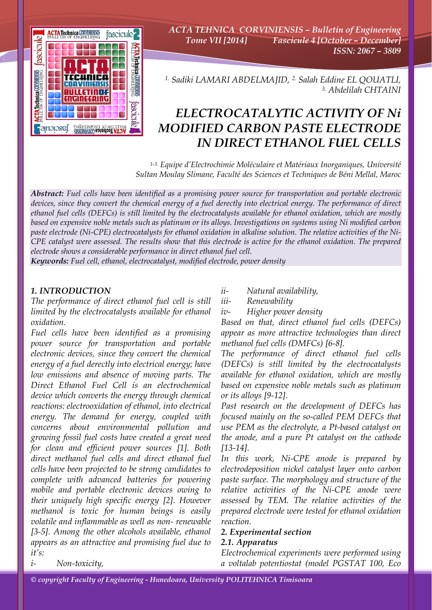

*ACTA TEHNICA CORVINIENSIS – Bulletin of Engineering Tome VII [2014] Fascicule 4 [October – December] ISSN: 2067 – 3809* 

*1. Sadiki LAMARI ABDELMAJID, 2. Salah Eddine EL QOUATLI, 3. Abdelilah CHTAINI*

# *ELECTROCATALYTIC ACTIVITY OF Ni MODIFIED CARBON PASTE ELECTRODE IN DIRECT ETHANOL FUEL CELLS*

*1-3. Equipe d'Electrochimie Moléculaire et Matériaux Inorganiques, Université Sultan Moulay Slimane, Faculté des Sciences et Techniques de Béni Mellal, Maroc*

*Abstract: Fuel cells have been identified as a promising power source for transportation and portable electronic devices, since they convert the chemical energy of a fuel derectly into electrical energy. The performance of direct ethanol fuel cells (DEFCs) is still limited by the electrocatalysts available for ethanol oxidation, which are mostly based on expensive noble metals such as platinum or its alloys. Investigations on systems using Ni modified carbon paste electrode (Ni-CPE) electrocatalysts for ethanol oxidation in alkaline solution. The relative activities of the Ni-CPE catalyst were assessed. The results show that this electrode is active for the ethanol oxidation. The prepared electrode shows a considerable performance in direct ethanol fuel cell.* 

*Keywords: Fuel cell, ethanol, electrocatalyst, modified electrode, power density*

## *1. INTRODUCTION*

*The performance of direct ethanol fuel cell is still limited by the electrocatalysts available for ethanol oxidation.* 

*Fuel cells have been identified as a promising power source for transportation and portable electronic devices, since they convert the chemical energy of a fuel derectly into electrical energy; have low emissions and absence of moving parts. The Direct Ethanol Fuel Cell is an electrochemical device which converts the energy through chemical reactions: electrooxidation of ethanol, into electrical energy. The demand for energy, coupled with concerns about environmental pollution and growing fossil fuel costs have created a great need for clean and efficient power sources [1]. Both direct methanol fuel cells and direct ethanol fuel cells have been projected to be strong candidates to complete with advanced batteries for powering mobile and portable electronic devices owing to their uniquely high specific energy [2]. However methanol is toxic for human beings is easily volatile and inflammable as well as non- renewable [3-5]. Among the other alcohols available, ethanol appears as an attractive and promising fuel due to it's:* 

*ii- Natural availability,* 

*iii- Renewability* 

*iv- Higher power density* 

*Based on that, direct ethanol fuel cells (DEFCs) appear as more attractive technologies than direct methanol fuel cells (DMFCs) [6-8].* 

*The performance of direct ethanol fuel cells (DEFCs) is still limited by the electrocatalysts available for ethanol oxidation, which are mostly based on expensive noble metals such as platinum or its alloys [9-12].* 

*Past research on the development of DEFCs has focused mainly on the so-called PEM DEFCs that use PEM as the electrolyte, a Pt-based catalyst on the anode, and a pure Pt catalyst on the cathode [13-14].* 

*In this work, Ni-CPE anode is prepared by electrodeposition nickel catalyst layer onto carbon paste surface. The morphology and structure of the relative activities of the Ni-CPE anode were assessed by TEM. The relative activities of the prepared electrode were tested for ethanol oxidation reaction.* 

## *2. Experimental section*

## *2.1. Apparatus*

*Electrochemical experiments were performed using a voltalab potentiostat (model PGSTAT 100, Eco* 

*i- Non-toxicity,*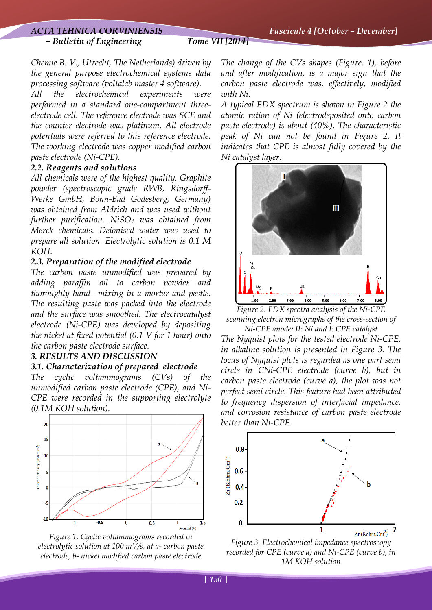## *– Bulletin of Engineering Tome VII [2014]*

*Chemie B. V., Utrecht, The Netherlands) driven by the general purpose electrochemical systems data processing software (voltalab master 4 software).* 

*All the electrochemical experiments were performed in a standard one-compartment threeelectrode cell. The reference electrode was SCE and the counter electrode was platinum. All electrode potentials were referred to this reference electrode. The working electrode was copper modified carbon paste electrode (Ni-CPE).* 

## *2.2. Reagents and solutions*

*All chemicals were of the highest quality. Graphite powder (spectroscopic grade RWB, Ringsdorff-Werke GmbH, Bonn-Bad Godesberg, Germany) was obtained from Aldrich and was used without further purification. NiSO4 was obtained from Merck chemicals. Deionised water was used to prepare all solution. Electrolytic solution is 0.1 M KOH.* 

## *2.3. Preparation of the modified electrode*

*The carbon paste unmodified was prepared by adding paraffin oil to carbon powder and thoroughly hand –mixing in a mortar and pestle. The resulting paste was packed into the electrode and the surface was smoothed. The electrocatalyst electrode (Ni-CPE) was developed by depositing the nickel at fixed potential (0.1 V for 1 hour) onto the carbon paste electrode surface.* 

## *3. RESULTS AND DISCUSSION*

## *3.1. Characterization of prepared electrode*

*The cyclic voltammograms (CVs) of the unmodified carbon paste electrode (CPE), and Ni-CPE were recorded in the supporting electrolyte (0.1M KOH solution).* 



*Figure 1. Cyclic voltammograms recorded in electrolytic solution at 100 mV/s, at a- carbon paste electrode, b- nickel modified carbon paste electrode* 

*The change of the CVs shapes (Figure. 1), before and after modification, is a major sign that the carbon paste electrode was, effectively, modified with Ni.* 

*A typical EDX spectrum is shown in Figure 2 the atomic ration of Ni (electrodeposited onto carbon paste electrode) is about (40%). The characteristic peak of Ni can not be found in Figure 2. It indicates that CPE is almost fully covered by the Ni catalyst layer.* 



*Figure 2. EDX spectra analysis of the Ni-CPE scanning electron micrographs of the cross-section of Ni-CPE anode: II: Ni and I: CPE catalyst* 

*The Nyquist plots for the tested electrode Ni-CPE, in alkaline solution is presented in Figure 3. The locus of Nyquist plots is regarded as one part semi circle in CNi-CPE electrode (curve b), but in carbon paste electrode (curve a), the plot was not perfect semi circle. This feature had been attributed to frequency dispersion of interfacial impedance, and corrosion resistance of carbon paste electrode better than Ni-CPE.* 



*Figure 3. Electrochemical impedance spectroscopy recorded for CPE (curve a) and Ni-CPE (curve b), in 1M KOH solution*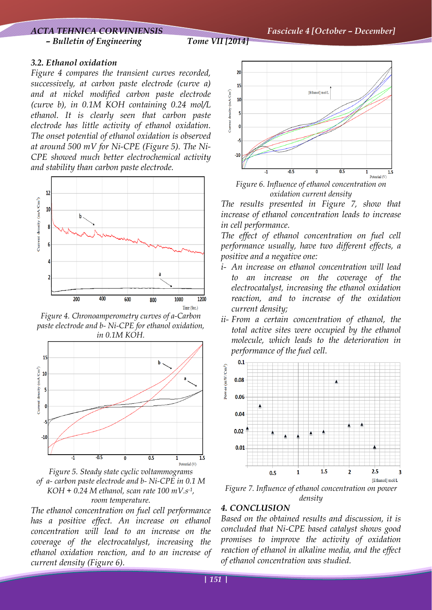*– Bulletin of Engineering Tome VII [2014]* 

## *3.2. Ethanol oxidation*

*Figure 4 compares the transient curves recorded, successively, at carbon paste electrode (curve a) and at nickel modified carbon paste electrode (curve b), in 0.1M KOH containing 0.24 mol/L ethanol. It is clearly seen that carbon paste electrode has little activity of ethanol oxidation. The onset potential of ethanol oxidation is observed at around 500 mV for Ni-CPE (Figure 5). The Ni-CPE showed much better electrochemical activity and stability than carbon paste electrode.* 



*Figure 4. Chronoamperometry curves of a-Carbon paste electrode and b- Ni-CPE for ethanol oxidation, in 0.1M KOH.* 



*Figure 5. Steady state cyclic voltammograms of a- carbon paste electrode and b- Ni-CPE in 0.1 M KOH + 0.24 M ethanol, scan rate 100 mV.s-1, room temperature.* 

*The ethanol concentration on fuel cell performance has a positive effect. An increase on ethanol concentration will lead to an increase on the coverage of the electrocatalyst, increasing the ethanol oxidation reaction, and to an increase of current density (Figure 6).* 



*Figure 6. Influence of ethanol concentration on oxidation current density* 

*The results presented in Figure 7, show that increase of ethanol concentration leads to increase in cell performance.* 

*The effect of ethanol concentration on fuel cell performance usually, have two different effects, a positive and a negative one:* 

- *i- An increase on ethanol concentration will lead to an increase on the coverage of the electrocatalyst, increasing the ethanol oxidation reaction, and to increase of the oxidation current density;*
- *ii- From a certain concentration of ethanol, the total active sites were occupied by the ethanol molecule, which leads to the deterioration in performance of the fuel cell.*



*Figure 7. Influence of ethanol concentration on power density* 

## *4. CONCLUSION*

*Based on the obtained results and discussion, it is concluded that Ni-CPE based catalyst shows good promises to improve the activity of oxidation reaction of ethanol in alkaline media, and the effect of ethanol concentration was studied.*